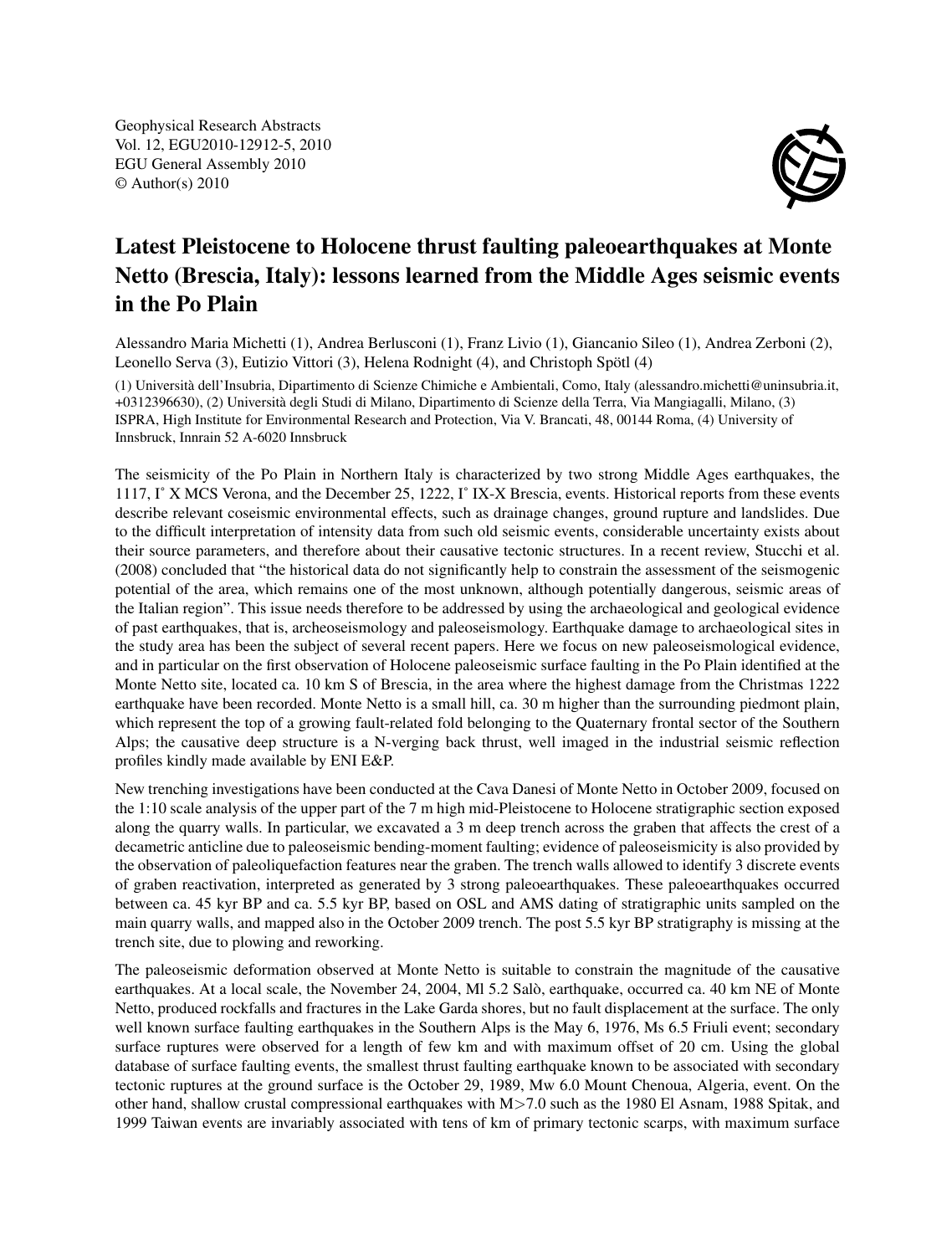Geophysical Research Abstracts Vol. 12, EGU2010-12912-5, 2010 EGU General Assembly 2010 © Author(s) 2010



## Latest Pleistocene to Holocene thrust faulting paleoearthquakes at Monte Netto (Brescia, Italy): lessons learned from the Middle Ages seismic events in the Po Plain

Alessandro Maria Michetti (1), Andrea Berlusconi (1), Franz Livio (1), Giancanio Sileo (1), Andrea Zerboni (2), Leonello Serva (3), Eutizio Vittori (3), Helena Rodnight (4), and Christoph Spötl (4)

(1) Università dell'Insubria, Dipartimento di Scienze Chimiche e Ambientali, Como, Italy (alessandro.michetti@uninsubria.it, +0312396630), (2) Università degli Studi di Milano, Dipartimento di Scienze della Terra, Via Mangiagalli, Milano, (3) ISPRA, High Institute for Environmental Research and Protection, Via V. Brancati, 48, 00144 Roma, (4) University of Innsbruck, Innrain 52 A-6020 Innsbruck

The seismicity of the Po Plain in Northern Italy is characterized by two strong Middle Ages earthquakes, the 1117, I˚ X MCS Verona, and the December 25, 1222, I˚ IX-X Brescia, events. Historical reports from these events describe relevant coseismic environmental effects, such as drainage changes, ground rupture and landslides. Due to the difficult interpretation of intensity data from such old seismic events, considerable uncertainty exists about their source parameters, and therefore about their causative tectonic structures. In a recent review, Stucchi et al. (2008) concluded that "the historical data do not significantly help to constrain the assessment of the seismogenic potential of the area, which remains one of the most unknown, although potentially dangerous, seismic areas of the Italian region". This issue needs therefore to be addressed by using the archaeological and geological evidence of past earthquakes, that is, archeoseismology and paleoseismology. Earthquake damage to archaeological sites in the study area has been the subject of several recent papers. Here we focus on new paleoseismological evidence, and in particular on the first observation of Holocene paleoseismic surface faulting in the Po Plain identified at the Monte Netto site, located ca. 10 km S of Brescia, in the area where the highest damage from the Christmas 1222 earthquake have been recorded. Monte Netto is a small hill, ca. 30 m higher than the surrounding piedmont plain, which represent the top of a growing fault-related fold belonging to the Quaternary frontal sector of the Southern Alps; the causative deep structure is a N-verging back thrust, well imaged in the industrial seismic reflection profiles kindly made available by ENI E&P.

New trenching investigations have been conducted at the Cava Danesi of Monte Netto in October 2009, focused on the 1:10 scale analysis of the upper part of the 7 m high mid-Pleistocene to Holocene stratigraphic section exposed along the quarry walls. In particular, we excavated a 3 m deep trench across the graben that affects the crest of a decametric anticline due to paleoseismic bending-moment faulting; evidence of paleoseismicity is also provided by the observation of paleoliquefaction features near the graben. The trench walls allowed to identify 3 discrete events of graben reactivation, interpreted as generated by 3 strong paleoearthquakes. These paleoearthquakes occurred between ca. 45 kyr BP and ca. 5.5 kyr BP, based on OSL and AMS dating of stratigraphic units sampled on the main quarry walls, and mapped also in the October 2009 trench. The post 5.5 kyr BP stratigraphy is missing at the trench site, due to plowing and reworking.

The paleoseismic deformation observed at Monte Netto is suitable to constrain the magnitude of the causative earthquakes. At a local scale, the November 24, 2004, Ml 5.2 Salò, earthquake, occurred ca. 40 km NE of Monte Netto, produced rockfalls and fractures in the Lake Garda shores, but no fault displacement at the surface. The only well known surface faulting earthquakes in the Southern Alps is the May 6, 1976, Ms 6.5 Friuli event; secondary surface ruptures were observed for a length of few km and with maximum offset of 20 cm. Using the global database of surface faulting events, the smallest thrust faulting earthquake known to be associated with secondary tectonic ruptures at the ground surface is the October 29, 1989, Mw 6.0 Mount Chenoua, Algeria, event. On the other hand, shallow crustal compressional earthquakes with M>7.0 such as the 1980 El Asnam, 1988 Spitak, and 1999 Taiwan events are invariably associated with tens of km of primary tectonic scarps, with maximum surface